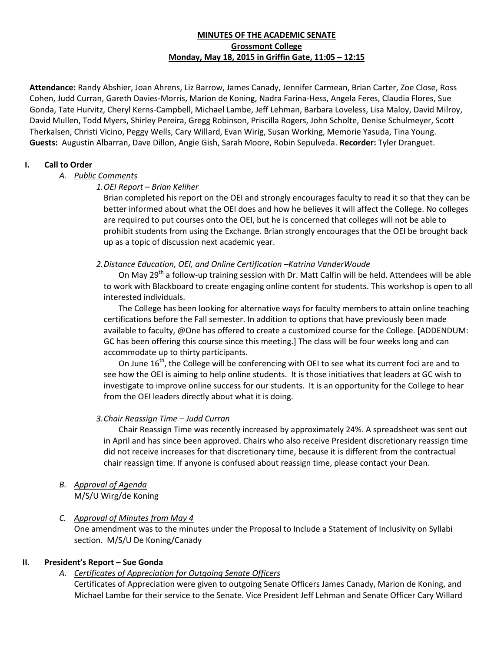# **MINUTES OF THE ACADEMIC SENATE Grossmont College Monday, May 18, 2015 in Griffin Gate, 11:05 – 12:15**

**Attendance:** Randy Abshier, Joan Ahrens, Liz Barrow, James Canady, Jennifer Carmean, Brian Carter, Zoe Close, Ross Cohen, Judd Curran, Gareth Davies-Morris, Marion de Koning, Nadra Farina-Hess, Angela Feres, Claudia Flores, Sue Gonda, Tate Hurvitz, Cheryl Kerns-Campbell, Michael Lambe, Jeff Lehman, Barbara Loveless, Lisa Maloy, David Milroy, David Mullen, Todd Myers, Shirley Pereira, Gregg Robinson, Priscilla Rogers, John Scholte, Denise Schulmeyer, Scott Therkalsen, Christi Vicino, Peggy Wells, Cary Willard, Evan Wirig, Susan Working, Memorie Yasuda, Tina Young. **Guests:** Augustin Albarran, Dave Dillon, Angie Gish, Sarah Moore, Robin Sepulveda. **Recorder:** Tyler Dranguet.

## **I. Call to Order**

# *A. Public Comments*

# *1.OEI Report – Brian Keliher*

Brian completed his report on the OEI and strongly encourages faculty to read it so that they can be better informed about what the OEI does and how he believes it will affect the College. No colleges are required to put courses onto the OEI, but he is concerned that colleges will not be able to prohibit students from using the Exchange. Brian strongly encourages that the OEI be brought back up as a topic of discussion next academic year.

# *2.Distance Education, OEI, and Online Certification –Katrina VanderWoude*

On May 29<sup>th</sup> a follow-up training session with Dr. Matt Calfin will be held. Attendees will be able to work with Blackboard to create engaging online content for students. This workshop is open to all interested individuals.

The College has been looking for alternative ways for faculty members to attain online teaching certifications before the Fall semester. In addition to options that have previously been made available to faculty, @One has offered to create a customized course for the College. [ADDENDUM: GC has been offering this course since this meeting.] The class will be four weeks long and can accommodate up to thirty participants.

On June  $16<sup>th</sup>$ , the College will be conferencing with OEI to see what its current foci are and to see how the OEI is aiming to help online students. It is those initiatives that leaders at GC wish to investigate to improve online success for our students. It is an opportunity for the College to hear from the OEI leaders directly about what it is doing.

### *3.Chair Reassign Time – Judd Curran*

Chair Reassign Time was recently increased by approximately 24%. A spreadsheet was sent out in April and has since been approved. Chairs who also receive President discretionary reassign time did not receive increases for that discretionary time, because it is different from the contractual chair reassign time. If anyone is confused about reassign time, please contact your Dean.

# *B. Approval of Agenda*

M/S/U Wirg/de Koning

# *C. Approval of Minutes from May 4*

One amendment was to the minutes under the Proposal to Include a Statement of Inclusivity on Syllabi section. M/S/U De Koning/Canady

# **II. President's Report – Sue Gonda**

# *A. Certificates of Appreciation for Outgoing Senate Officers*

Certificates of Appreciation were given to outgoing Senate Officers James Canady, Marion de Koning, and Michael Lambe for their service to the Senate. Vice President Jeff Lehman and Senate Officer Cary Willard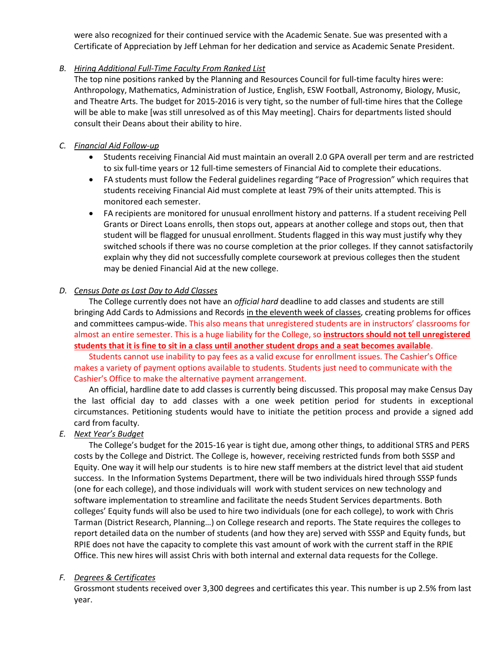were also recognized for their continued service with the Academic Senate. Sue was presented with a Certificate of Appreciation by Jeff Lehman for her dedication and service as Academic Senate President.

# *B. Hiring Additional Full-Time Faculty From Ranked List*

The top nine positions ranked by the Planning and Resources Council for full-time faculty hires were: Anthropology, Mathematics, Administration of Justice, English, ESW Football, Astronomy, Biology, Music, and Theatre Arts. The budget for 2015-2016 is very tight, so the number of full-time hires that the College will be able to make [was still unresolved as of this May meeting]. Chairs for departments listed should consult their Deans about their ability to hire.

## *C. Financial Aid Follow-up*

- Students receiving Financial Aid must maintain an overall 2.0 GPA overall per term and are restricted to six full-time years or 12 full-time semesters of Financial Aid to complete their educations.
- FA students must follow the Federal guidelines regarding "Pace of Progression" which requires that students receiving Financial Aid must complete at least 79% of their units attempted. This is monitored each semester.
- FA recipients are monitored for unusual enrollment history and patterns. If a student receiving Pell Grants or Direct Loans enrolls, then stops out, appears at another college and stops out, then that student will be flagged for unusual enrollment. Students flagged in this way must justify why they switched schools if there was no course completion at the prior colleges. If they cannot satisfactorily explain why they did not successfully complete coursework at previous colleges then the student may be denied Financial Aid at the new college.

# *D. Census Date as Last Day to Add Classes*

The College currently does not have an *official hard* deadline to add classes and students are still bringing Add Cards to Admissions and Records in the eleventh week of classes, creating problems for offices and committees campus-wide. This also means that unregistered students are in instructors' classrooms for almost an entire semester. This is a huge liability for the College, so **instructors should not tell unregistered students that it is fine to sit in a class until another student drops and a seat becomes available**.

Students cannot use inability to pay fees as a valid excuse for enrollment issues. The Cashier's Office makes a variety of payment options available to students. Students just need to communicate with the Cashier's Office to make the alternative payment arrangement.

An official, hardline date to add classes is currently being discussed. This proposal may make Census Day the last official day to add classes with a one week petition period for students in exceptional circumstances. Petitioning students would have to initiate the petition process and provide a signed add card from faculty.

# *E. Next Year's Budget*

The College's budget for the 2015-16 year is tight due, among other things, to additional STRS and PERS costs by the College and District. The College is, however, receiving restricted funds from both SSSP and Equity. One way it will help our students is to hire new staff members at the district level that aid student success. In the Information Systems Department, there will be two individuals hired through SSSP funds (one for each college), and those individuals will work with student services on new technology and software implementation to streamline and facilitate the needs Student Services departments. Both colleges' Equity funds will also be used to hire two individuals (one for each college), to work with Chris Tarman (District Research, Planning…) on College research and reports. The State requires the colleges to report detailed data on the number of students (and how they are) served with SSSP and Equity funds, but RPIE does not have the capacity to complete this vast amount of work with the current staff in the RPIE Office. This new hires will assist Chris with both internal and external data requests for the College.

### *F. Degrees & Certificates*

Grossmont students received over 3,300 degrees and certificates this year. This number is up 2.5% from last year.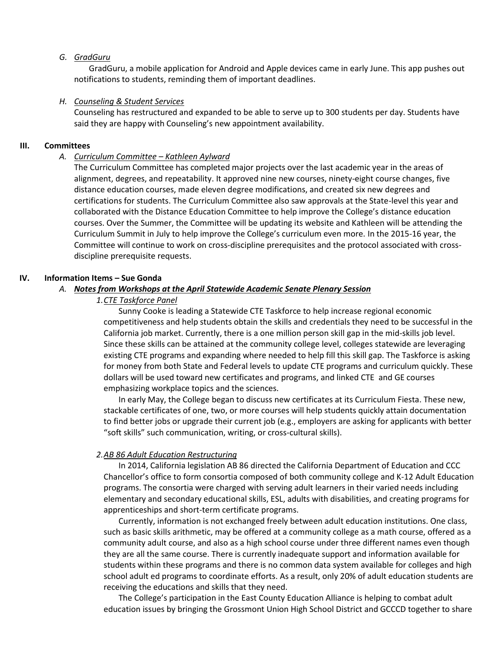#### *G. GradGuru*

GradGuru, a mobile application for Android and Apple devices came in early June. This app pushes out notifications to students, reminding them of important deadlines.

#### *H. Counseling & Student Services*

Counseling has restructured and expanded to be able to serve up to 300 students per day. Students have said they are happy with Counseling's new appointment availability.

#### **III. Committees**

#### *A. Curriculum Committee – Kathleen Aylward*

The Curriculum Committee has completed major projects over the last academic year in the areas of alignment, degrees, and repeatability. It approved nine new courses, ninety-eight course changes, five distance education courses, made eleven degree modifications, and created six new degrees and certifications for students. The Curriculum Committee also saw approvals at the State-level this year and collaborated with the Distance Education Committee to help improve the College's distance education courses. Over the Summer, the Committee will be updating its website and Kathleen will be attending the Curriculum Summit in July to help improve the College's curriculum even more. In the 2015-16 year, the Committee will continue to work on cross-discipline prerequisites and the protocol associated with crossdiscipline prerequisite requests.

### **IV. Information Items – Sue Gonda**

### *A. Notes from Workshops at the April Statewide Academic Senate Plenary Session*

#### *1.CTE Taskforce Panel*

Sunny Cooke is leading a Statewide CTE Taskforce to help increase regional economic competitiveness and help students obtain the skills and credentials they need to be successful in the California job market. Currently, there is a one million person skill gap in the mid-skills job level. Since these skills can be attained at the community college level, colleges statewide are leveraging existing CTE programs and expanding where needed to help fill this skill gap. The Taskforce is asking for money from both State and Federal levels to update CTE programs and curriculum quickly. These dollars will be used toward new certificates and programs, and linked CTE and GE courses emphasizing workplace topics and the sciences.

In early May, the College began to discuss new certificates at its Curriculum Fiesta. These new, stackable certificates of one, two, or more courses will help students quickly attain documentation to find better jobs or upgrade their current job (e.g., employers are asking for applicants with better "soft skills" such communication, writing, or cross-cultural skills).

#### *2.AB 86 Adult Education Restructuring*

In 2014, California legislation AB 86 directed the California Department of Education and CCC Chancellor's office to form consortia composed of both community college and K-12 Adult Education programs. The consortia were charged with serving adult learners in their varied needs including elementary and secondary educational skills, ESL, adults with disabilities, and creating programs for apprenticeships and short-term certificate programs.

Currently, information is not exchanged freely between adult education institutions. One class, such as basic skills arithmetic, may be offered at a community college as a math course, offered as a community adult course, and also as a high school course under three different names even though they are all the same course. There is currently inadequate support and information available for students within these programs and there is no common data system available for colleges and high school adult ed programs to coordinate efforts. As a result, only 20% of adult education students are receiving the educations and skills that they need.

The College's participation in the East County Education Alliance is helping to combat adult education issues by bringing the Grossmont Union High School District and GCCCD together to share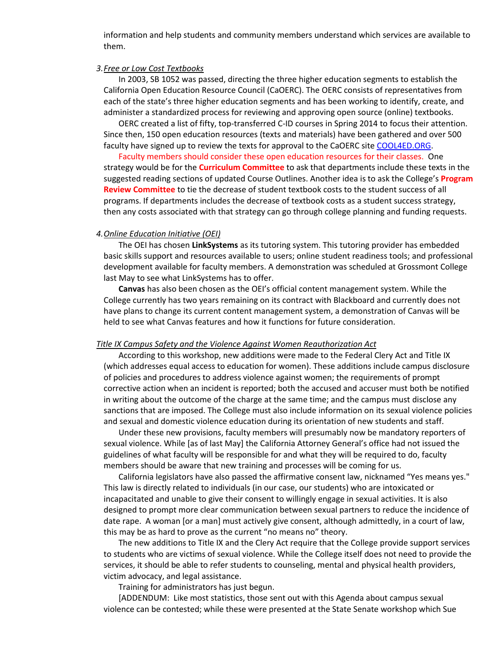information and help students and community members understand which services are available to them.

#### *3.Free or Low Cost Textbooks*

In 2003, SB 1052 was passed, directing the three higher education segments to establish the California Open Education Resource Council (CaOERC). The OERC consists of representatives from each of the state's three higher education segments and has been working to identify, create, and administer a standardized process for reviewing and approving open source (online) textbooks.

OERC created a list of fifty, top-transferred C-ID courses in Spring 2014 to focus their attention. Since then, 150 open education resources (texts and materials) have been gathered and over 500 faculty have signed up to review the texts for approval to the CaOERC site [COOL4ED.ORG.](http://cool4ed.org/)

Faculty members should consider these open education resources for their classes. One strategy would be for the **Curriculum Committee** to ask that departments include these texts in the suggested reading sections of updated Course Outlines. Another idea is to ask the College's **Program Review Committee** to tie the decrease of student textbook costs to the student success of all programs. If departments includes the decrease of textbook costs as a student success strategy, then any costs associated with that strategy can go through college planning and funding requests.

#### *4.Online Education Initiative (OEI)*

The OEI has chosen **LinkSystems** as its tutoring system. This tutoring provider has embedded basic skills support and resources available to users; online student readiness tools; and professional development available for faculty members. A demonstration was scheduled at Grossmont College last May to see what LinkSystems has to offer.

**Canvas** has also been chosen as the OEI's official content management system. While the College currently has two years remaining on its contract with Blackboard and currently does not have plans to change its current content management system, a demonstration of Canvas will be held to see what Canvas features and how it functions for future consideration.

#### *Title IX Campus Safety and the Violence Against Women Reauthorization Act*

According to this workshop, new additions were made to the Federal Clery Act and Title IX (which addresses equal access to education for women). These additions include campus disclosure of policies and procedures to address violence against women; the requirements of prompt corrective action when an incident is reported; both the accused and accuser must both be notified in writing about the outcome of the charge at the same time; and the campus must disclose any sanctions that are imposed. The College must also include information on its sexual violence policies and sexual and domestic violence education during its orientation of new students and staff.

Under these new provisions, faculty members will presumably now be mandatory reporters of sexual violence. While [as of last May] the California Attorney General's office had not issued the guidelines of what faculty will be responsible for and what they will be required to do, faculty members should be aware that new training and processes will be coming for us.

California legislators have also passed the affirmative consent law, nicknamed "Yes means yes." This law is directly related to individuals (in our case, our students) who are intoxicated or incapacitated and unable to give their consent to willingly engage in sexual activities. It is also designed to prompt more clear communication between sexual partners to reduce the incidence of date rape. A woman [or a man] must actively give consent, although admittedly, in a court of law, this may be as hard to prove as the current "no means no" theory.

The new additions to Title IX and the Clery Act require that the College provide support services to students who are victims of sexual violence. While the College itself does not need to provide the services, it should be able to refer students to counseling, mental and physical health providers, victim advocacy, and legal assistance.

Training for administrators has just begun.

[ADDENDUM: Like most statistics, those sent out with this Agenda about campus sexual violence can be contested; while these were presented at the State Senate workshop which Sue